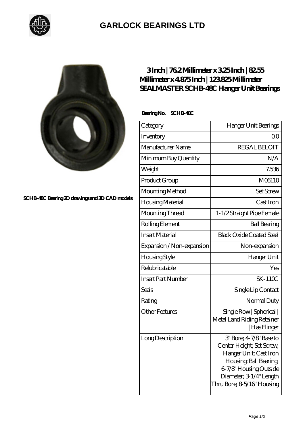

## **[GARLOCK BEARINGS LTD](https://m.letterstopriests.com)**



**[SCHB-48C Bearing 2D drawings and 3D CAD models](https://m.letterstopriests.com/pic-188981.html)**

## **[3 Inch | 76.2 Millimeter x 3.25 Inch | 82.55](https://m.letterstopriests.com/bz-188981-sealmaster-schb-48c-hanger-unit-bearings.html) [Millimeter x 4.875 Inch | 123.825 Millimeter](https://m.letterstopriests.com/bz-188981-sealmaster-schb-48c-hanger-unit-bearings.html) [SEALMASTER SCHB-48C Hanger Unit Bearings](https://m.letterstopriests.com/bz-188981-sealmaster-schb-48c-hanger-unit-bearings.html)**

 **Bearing No. SCHB-48C**

| Category                  | Hanger Unit Bearings                                                                                                                                                                        |
|---------------------------|---------------------------------------------------------------------------------------------------------------------------------------------------------------------------------------------|
| Inventory                 | Q0                                                                                                                                                                                          |
| Manufacturer Name         | <b>REGAL BELOIT</b>                                                                                                                                                                         |
| Minimum Buy Quantity      | N/A                                                                                                                                                                                         |
| Weight                    | 7.536                                                                                                                                                                                       |
| Product Group             | M06110                                                                                                                                                                                      |
| Mounting Method           | <b>Set Screw</b>                                                                                                                                                                            |
| Housing Material          | Cast Iron                                                                                                                                                                                   |
| Mounting Thread           | 1-1/2 Straight Pipe Female                                                                                                                                                                  |
| Rolling Element           | <b>Ball Bearing</b>                                                                                                                                                                         |
| <b>Insert Material</b>    | <b>Black Oxide Coated Steel</b>                                                                                                                                                             |
| Expansion / Non-expansion | Non-expansion                                                                                                                                                                               |
| Housing Style             | Hanger Unit                                                                                                                                                                                 |
| Relubricatable            | Yes                                                                                                                                                                                         |
| <b>Insert Part Number</b> | $SK-110C$                                                                                                                                                                                   |
| Seals                     | Single Lip Contact                                                                                                                                                                          |
| Rating                    | Normal Duty                                                                                                                                                                                 |
| <b>Other Features</b>     | Single Row   Spherical  <br>Metal Land Riding Retainer<br> Has Flinger                                                                                                                      |
| Long Description          | 3' Bore; 4-7/8' Base to<br>Center Height; Set Screw,<br>Hanger Unit; Cast Iron<br>Housing, Ball Bearing,<br>6-7/8" Housing Outside<br>Diameter; 3-1/4" Length<br>Thru Bore; 8-5/16" Housing |